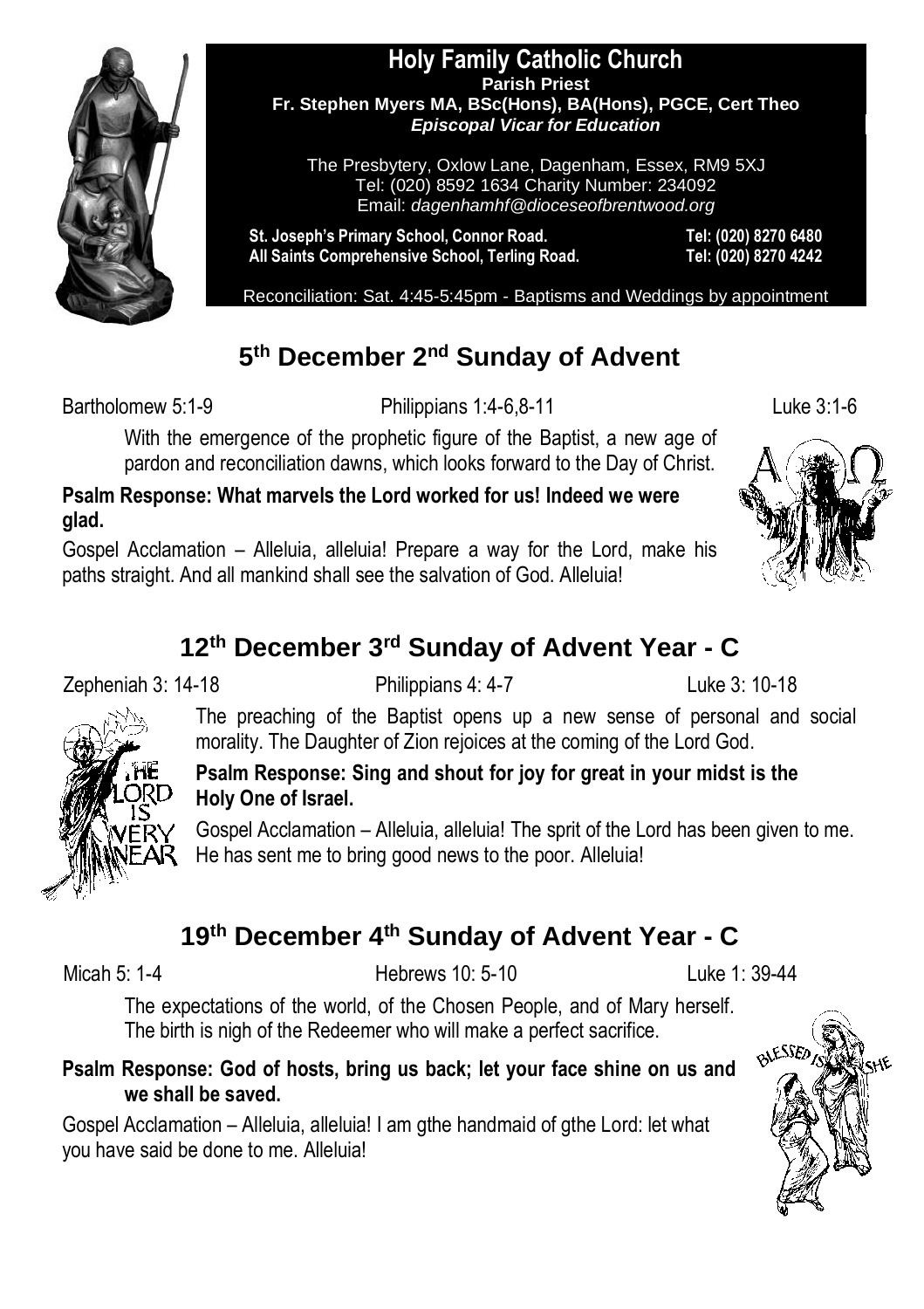

#### **Holy Family Catholic Church Parish Priest Fr. Stephen Myers MA, BSc(Hons), BA(Hons), PGCE, Cert Theo** *Episcopal Vicar for Education*

The Presbytery, Oxlow Lane, Dagenham, Essex, RM9 5XJ Tel: (020) 8592 1634 Charity Number: 234092 Email: *dagenhamhf@dioceseofbrentwood.org*

**St. Joseph's Primary School, Connor Road. Tel: (020) 8270 6480 All Saints Comprehensive School, Terling Road. Tel: (020) 8270 4242**

Reconciliation: Sat. 4:45-5:45pm - Baptisms and Weddings by appointment

### **5 th December 2nd Sunday of Advent**

Bartholomew 5:1-9 Philippians 1:4-6,8-11 Luke 3:1-6

With the emergence of the prophetic figure of the Baptist, a new age of pardon and reconciliation dawns, which looks forward to the Day of Christ.

**Psalm Response: What marvels the Lord worked for us! Indeed we were glad.**

Gospel Acclamation – Alleluia, alleluia! Prepare a way for the Lord, make his paths straight. And all mankind shall see the salvation of God. Alleluia!

### **12th December 3rd Sunday of Advent Year - C**

Zepheniah 3: 14-18 Philippians 4: 4-7 Luke 3: 10-18

The preaching of the Baptist opens up a new sense of personal and social morality. The Daughter of Zion rejoices at the coming of the Lord God.



#### **Psalm Response: Sing and shout for joy for great in your midst is the Holy One of Israel.**

Gospel Acclamation – Alleluia, alleluia! The sprit of the Lord has been given to me. He has sent me to bring good news to the poor. Alleluia!

## **19th December 4th Sunday of Advent Year - C**

Micah 5: 1-4 Hebrews 10: 5-10 Luke 1: 39-44

The expectations of the world, of the Chosen People, and of Mary herself. The birth is nigh of the Redeemer who will make a perfect sacrifice.

#### **Psalm Response: God of hosts, bring us back; let your face shine on us and we shall be saved.**

Gospel Acclamation – Alleluia, alleluia! I am gthe handmaid of gthe Lord: let what you have said be done to me. Alleluia!

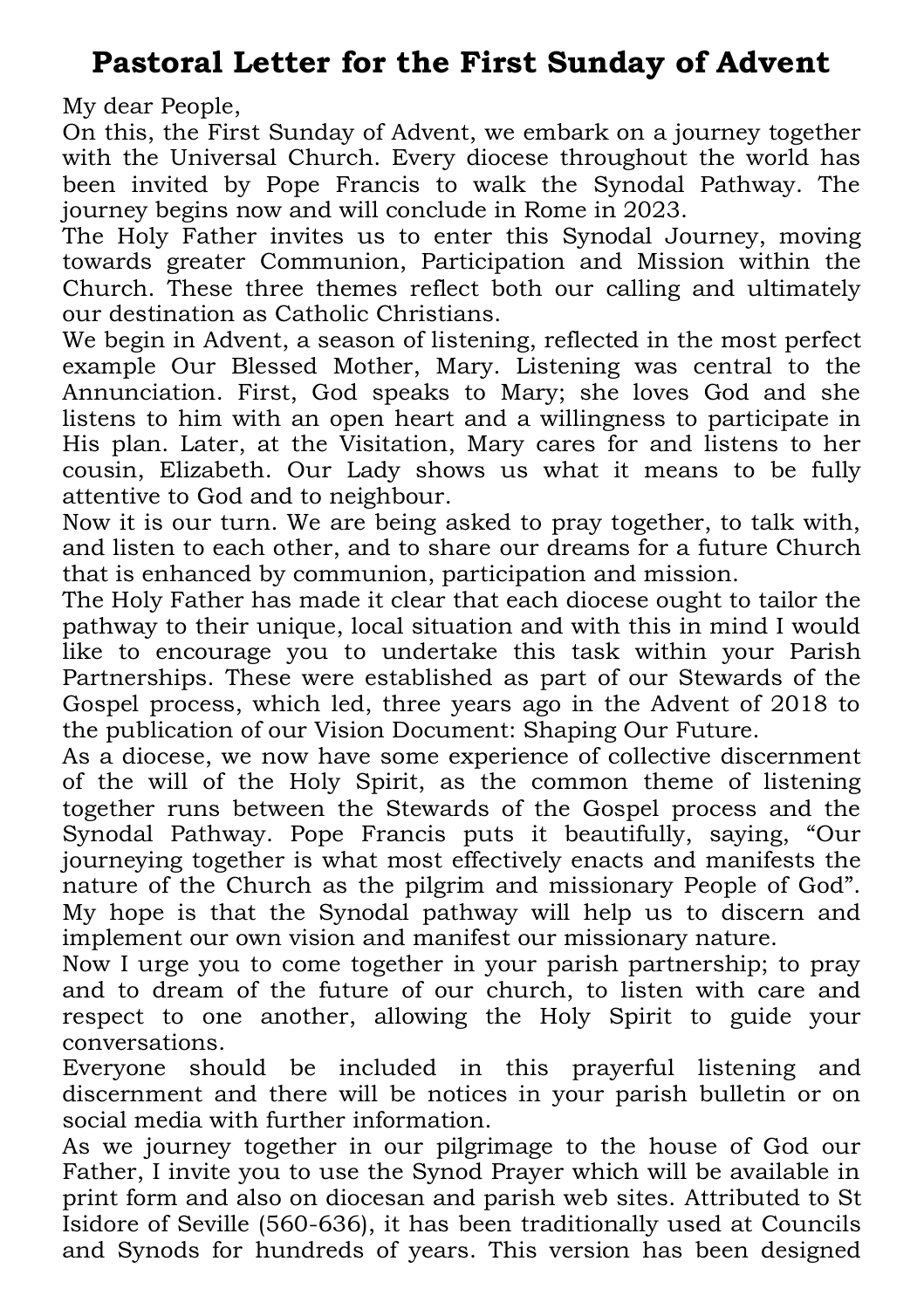### **Pastoral Letter for the First Sunday of Advent**

My dear People,

On this, the First Sunday of Advent, we embark on a journey together with the Universal Church. Every diocese throughout the world has been invited by Pope Francis to walk the Synodal Pathway. The journey begins now and will conclude in Rome in 2023.

The Holy Father invites us to enter this Synodal Journey, moving towards greater Communion, Participation and Mission within the Church. These three themes reflect both our calling and ultimately our destination as Catholic Christians.

We begin in Advent, a season of listening, reflected in the most perfect example Our Blessed Mother, Mary. Listening was central to the Annunciation. First, God speaks to Mary; she loves God and she listens to him with an open heart and a willingness to participate in His plan. Later, at the Visitation, Mary cares for and listens to her cousin, Elizabeth. Our Lady shows us what it means to be fully attentive to God and to neighbour.

Now it is our turn. We are being asked to pray together, to talk with, and listen to each other, and to share our dreams for a future Church that is enhanced by communion, participation and mission.

The Holy Father has made it clear that each diocese ought to tailor the pathway to their unique, local situation and with this in mind I would like to encourage you to undertake this task within your Parish Partnerships. These were established as part of our Stewards of the Gospel process, which led, three years ago in the Advent of 2018 to the publication of our Vision Document: Shaping Our Future.

As a diocese, we now have some experience of collective discernment of the will of the Holy Spirit, as the common theme of listening together runs between the Stewards of the Gospel process and the Synodal Pathway. Pope Francis puts it beautifully, saying, "Our journeying together is what most effectively enacts and manifests the nature of the Church as the pilgrim and missionary People of God". My hope is that the Synodal pathway will help us to discern and implement our own vision and manifest our missionary nature.

Now I urge you to come together in your parish partnership; to pray and to dream of the future of our church, to listen with care and respect to one another, allowing the Holy Spirit to guide your conversations.

Everyone should be included in this prayerful listening and discernment and there will be notices in your parish bulletin or on social media with further information.

As we journey together in our pilgrimage to the house of God our Father, I invite you to use the Synod Prayer which will be available in print form and also on diocesan and parish web sites. Attributed to St Isidore of Seville (560-636), it has been traditionally used at Councils and Synods for hundreds of years. This version has been designed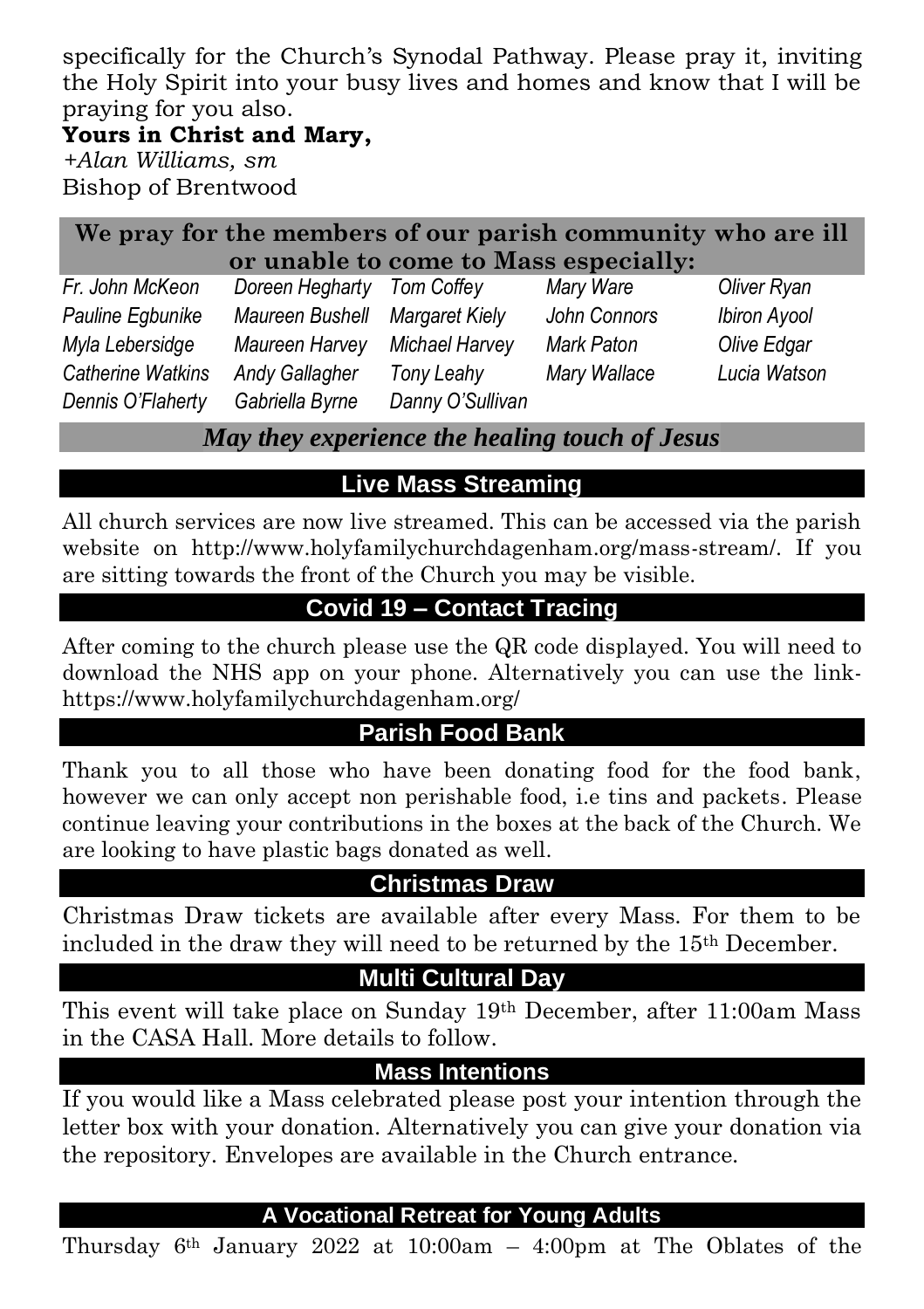specifically for the Church's Synodal Pathway. Please pray it, inviting the Holy Spirit into your busy lives and homes and know that I will be praying for you also.

#### **Yours in Christ and Mary,**

*+Alan Williams, sm* Bishop of Brentwood

| We pray for the members of our parish community who are ill |                                |                |              |              |
|-------------------------------------------------------------|--------------------------------|----------------|--------------|--------------|
| or unable to come to Mass especially:                       |                                |                |              |              |
| Fr. John McKeon                                             | Doreen Hegharty Tom Coffey     |                | Mary Ware    | Oliver Ryan  |
| Pauline Egbunike                                            | Maureen Bushell Margaret Kielv |                | John Connors | Ibiron Ayool |
| Myla Lebersidge                                             | Maureen Harvey                 | Michael Harvey | Mark Paton   | Olive Edgar  |

*Catherine Watkins Andy Gallagher Tony Leahy Mary Wallace Lucia Watson Dennis O'Flaherty Gabriella Byrne Danny O'Sullivan*

*May they experience the healing touch of Jesus*

#### **Live Mass Streaming**

All church services are now live streamed. This can be accessed via the parish website on http://www.holyfamilychurchdagenham.org/mass-stream/. If you are sitting towards the front of the Church you may be visible.

### **Covid 19 – Contact Tracing**

After coming to the church please use the QR code displayed. You will need to download the NHS app on your phone. Alternatively you can use the link<https://www.holyfamilychurchdagenham.org/>

#### **Parish Food Bank**

Thank you to all those who have been donating food for the food bank, however we can only accept non perishable food, i.e tins and packets. Please continue leaving your contributions in the boxes at the back of the Church. We are looking to have plastic bags donated as well.

#### **Christmas Draw**

Christmas Draw tickets are available after every Mass. For them to be included in the draw they will need to be returned by the 15th December.

#### **Multi Cultural Day**

This event will take place on Sunday 19th December, after 11:00am Mass in the CASA Hall. More details to follow.

#### **Mass Intentions**

If you would like a Mass celebrated please post your intention through the letter box with your donation. Alternatively you can give your donation via the repository. Envelopes are available in the Church entrance.

#### **A Vocational Retreat for Young Adults**

Thursday  $6<sup>th</sup>$  January 2022 at 10:00am – 4:00pm at The Oblates of the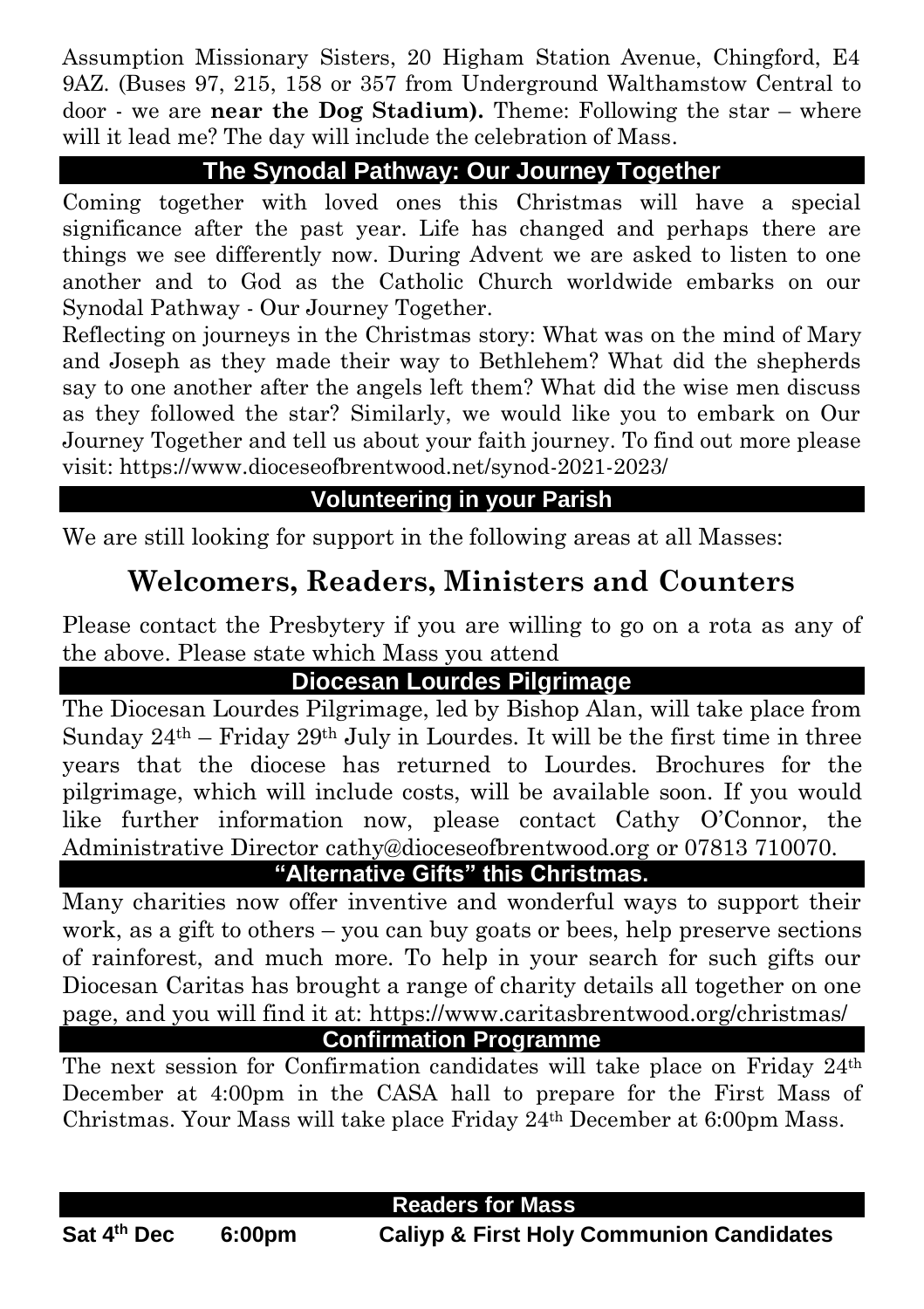Assumption Missionary Sisters, 20 Higham Station Avenue, Chingford, E4 9AZ. (Buses 97, 215, 158 or 357 from Underground Walthamstow Central to door - we are **near the Dog Stadium).** Theme: Following the star – where will it lead me? The day will include the celebration of Mass.

#### **The Synodal Pathway: Our Journey Together**

Coming together with loved ones this Christmas will have a special significance after the past year. Life has changed and perhaps there are things we see differently now. During Advent we are asked to listen to one another and to God as the Catholic Church worldwide embarks on our Synodal Pathway - Our Journey Together.

Reflecting on journeys in the Christmas story: What was on the mind of Mary and Joseph as they made their way to Bethlehem? What did the shepherds say to one another after the angels left them? What did the wise men discuss as they followed the star? Similarly, we would like you to embark on Our Journey Together and tell us about your faith journey. To find out more please visit: https://www.dioceseofbrentwood.net/synod-2021-2023/

#### **Volunteering in your Parish**

We are still looking for support in the following areas at all Masses:

### **Welcomers, Readers, Ministers and Counters**

Please contact the Presbytery if you are willing to go on a rota as any of the above. Please state which Mass you attend

#### **Diocesan Lourdes Pilgrimage**

The Diocesan Lourdes Pilgrimage, led by Bishop Alan, will take place from Sunday  $24<sup>th</sup> - Friday 29<sup>th</sup> July in Lourdes. It will be the first time in three$ years that the diocese has returned to Lourdes. Brochures for the pilgrimage, which will include costs, will be available soon. If you would like further information now, please contact Cathy O'Connor, the Administrative Director cathy@dioceseofbrentwood.org or 07813 710070.

### **"Alternative Gifts" this Christmas.**

Many charities now offer inventive and wonderful ways to support their work, as a gift to others – you can buy goats or bees, help preserve sections of rainforest, and much more. To help in your search for such gifts our Diocesan Caritas has brought a range of charity details all together on one page, and you will find it at: https://www.caritasbrentwood.org/christmas/

**Confirmation Programme**

The next session for Confirmation candidates will take place on Friday 24<sup>th</sup> December at 4:00pm in the CASA hall to prepare for the First Mass of Christmas. Your Mass will take place Friday 24th December at 6:00pm Mass.

#### **Ann Readers for Mass**

Sat 4<sup>th</sup> Dec

**th Dec 6:00pm Caliyp & First Holy Communion Candidates**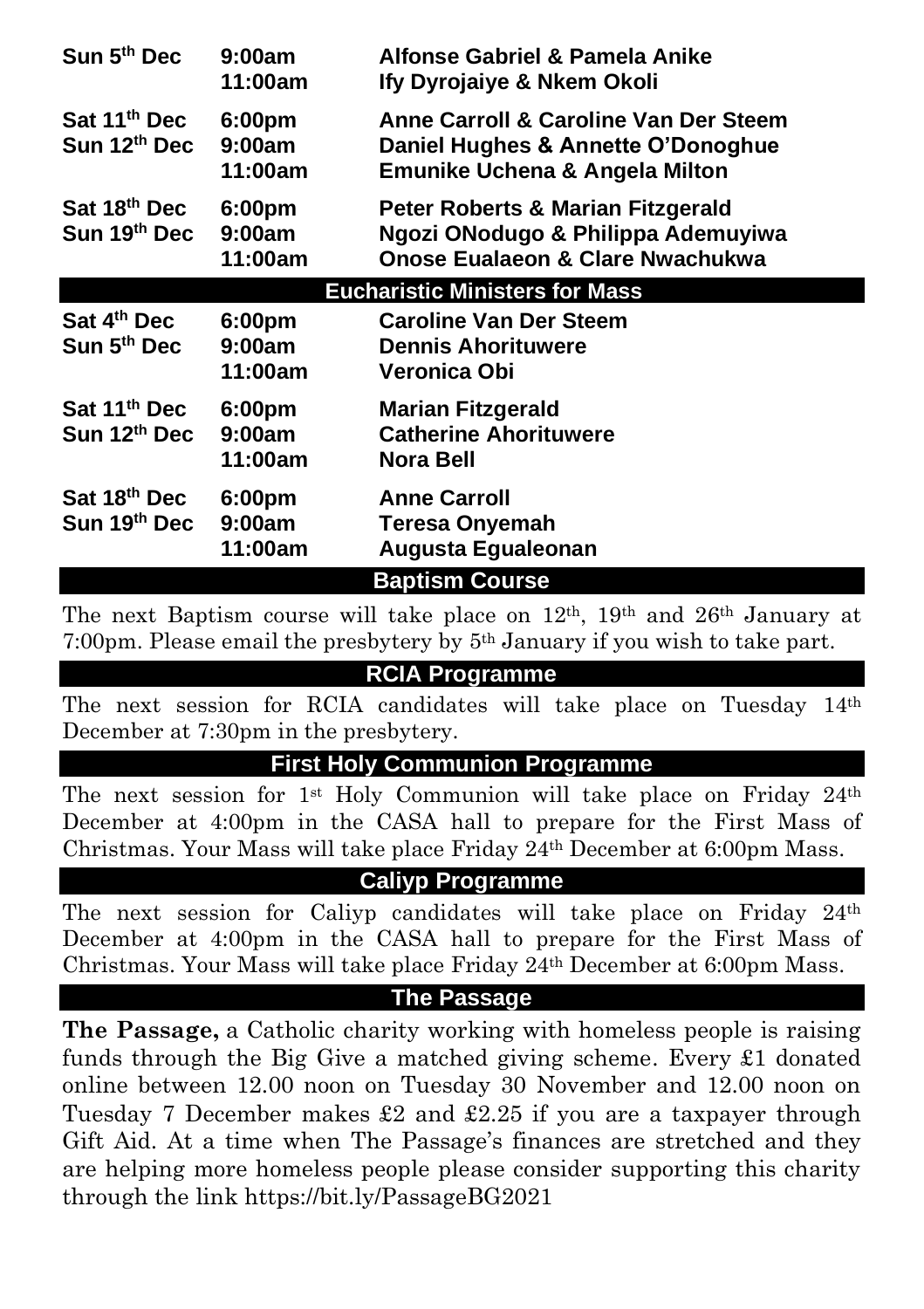| Sun 5 <sup>th</sup> Dec                              | 9:00am<br>11:00am           | Alfonse Gabriel & Pamela Anike<br>Ify Dyrojaiye & Nkem Okoli                                                  |
|------------------------------------------------------|-----------------------------|---------------------------------------------------------------------------------------------------------------|
| Sat 11 <sup>th</sup> Dec<br>Sun 12th Dec             | 6:00pm<br>9:00am<br>11:00am | Anne Carroll & Caroline Van Der Steem<br>Daniel Hughes & Annette O'Donoghue<br>Emunike Uchena & Angela Milton |
| Sat 18th Dec<br>Sun 19th Dec                         | 6:00pm<br>9:00am<br>11:00am | Peter Roberts & Marian Fitzgerald<br>Ngozi ONodugo & Philippa Ademuyiwa<br>Onose Eualaeon & Clare Nwachukwa   |
|                                                      |                             | <b>Eucharistic Ministers for Mass</b>                                                                         |
| Sat 4th Dec<br>Sun 5 <sup>th</sup> Dec               | 6:00pm<br>9:00am<br>11:00am | <b>Caroline Van Der Steem</b><br><b>Dennis Ahorituwere</b><br>Veronica Obi                                    |
| Sat 11 <sup>th</sup> Dec<br>Sun 12 <sup>th</sup> Dec | 6:00pm<br>9:00am<br>11:00am | <b>Marian Fitzgerald</b><br><b>Catherine Ahorituwere</b><br>Nora Bell                                         |
| Sat 18th Dec<br>Sun 19th Dec                         | 6:00pm<br>9:00am<br>11:00am | <b>Anne Carroll</b><br><b>Teresa Onyemah</b><br>Augusta Egualeonan                                            |
|                                                      |                             | <b>Baptism Course</b>                                                                                         |

The next Baptism course will take place on 12th, 19th and 26th January at 7:00pm. Please email the presbytery by 5th January if you wish to take part.

#### **RCIA Programme**

The next session for RCIA candidates will take place on Tuesday 14th December at 7:30pm in the presbytery.

#### **First Holy Communion Programme**

The next session for 1st Holy Communion will take place on Friday 24th December at 4:00pm in the CASA hall to prepare for the First Mass of Christmas. Your Mass will take place Friday 24th December at 6:00pm Mass.

#### **Caliyp Programme**

The next session for Caliyp candidates will take place on Friday 24th December at 4:00pm in the CASA hall to prepare for the First Mass of Christmas. Your Mass will take place Friday 24th December at 6:00pm Mass.

#### **The Passage**

**The Passage,** a Catholic charity working with homeless people is raising funds through the Big Give a matched giving scheme. Every £1 donated online between 12.00 noon on Tuesday 30 November and 12.00 noon on Tuesday 7 December makes £2 and £2.25 if you are a taxpayer through Gift Aid. At a time when The Passage's finances are stretched and they are helping more homeless people please consider supporting this charity through the link<https://bit.ly/PassageBG2021>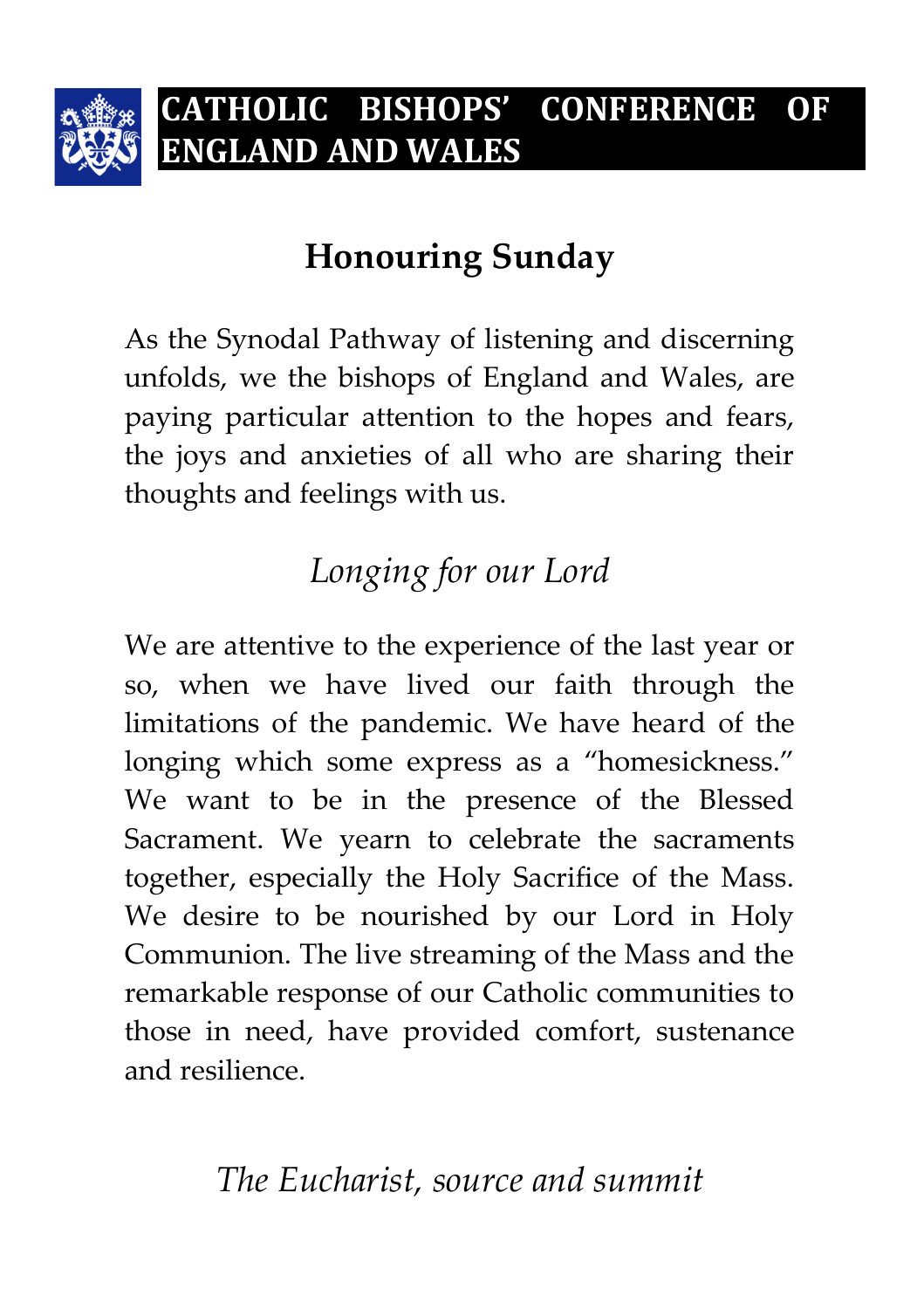

# **Honouring Sunday**

As the Synodal Pathway of listening and discerning unfolds, we the bishops of England and Wales, are paying particular attention to the hopes and fears, the joys and anxieties of all who are sharing their thoughts and feelings with us.

# *Longing for our Lord*

We are attentive to the experience of the last year or so, when we have lived our faith through the limitations of the pandemic. We have heard of the longing which some express as a "homesickness." We want to be in the presence of the Blessed Sacrament. We yearn to celebrate the sacraments together, especially the Holy Sacrifice of the Mass. We desire to be nourished by our Lord in Holy Communion. The live streaming of the Mass and the remarkable response of our Catholic communities to those in need, have provided comfort, sustenance and resilience.

# *The Eucharist, source and summit*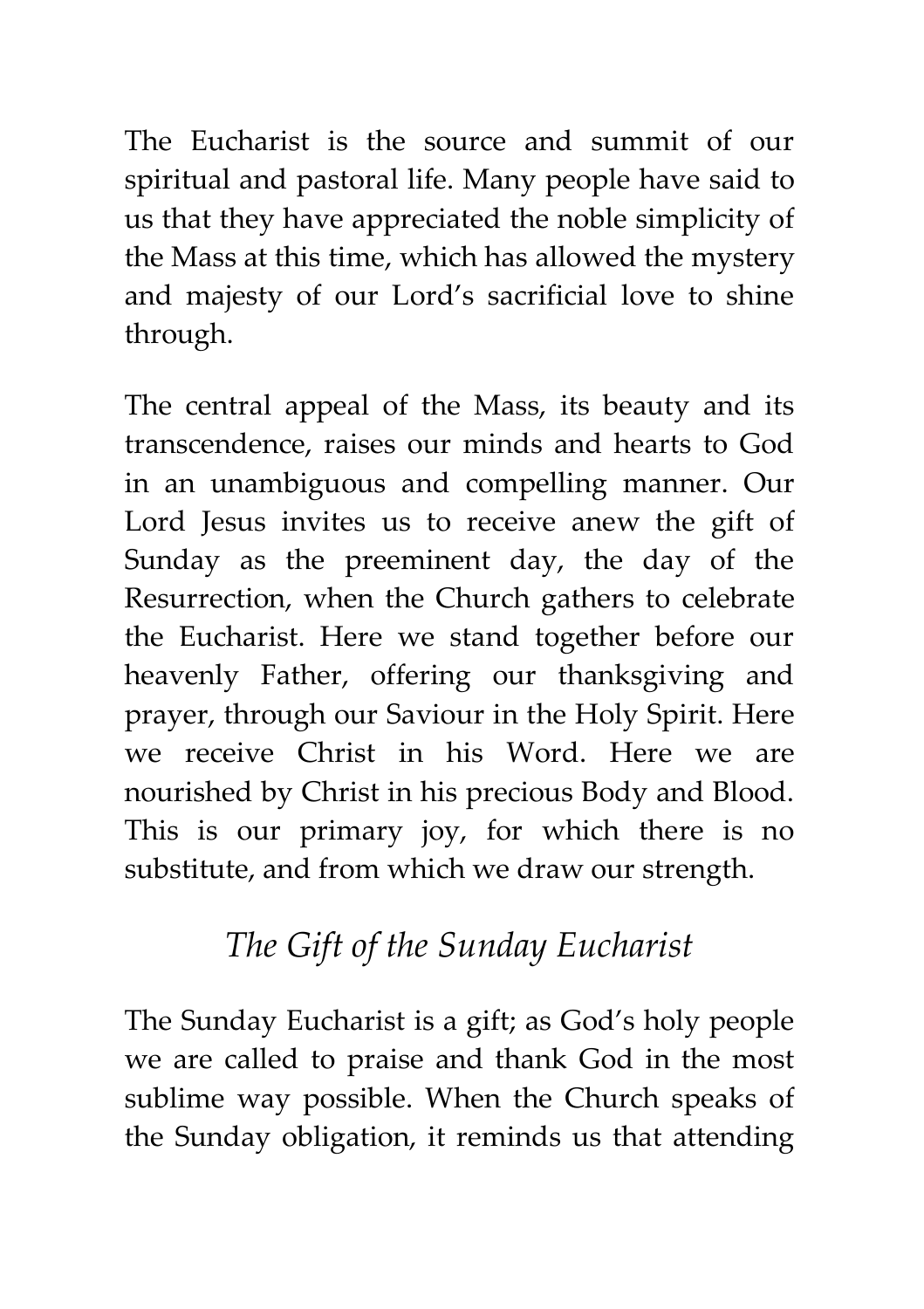The Eucharist is the source and summit of our spiritual and pastoral life. Many people have said to us that they have appreciated the noble simplicity of the Mass at this time, which has allowed the mystery and majesty of our Lord's sacrificial love to shine through.

The central appeal of the Mass, its beauty and its transcendence, raises our minds and hearts to God in an unambiguous and compelling manner. Our Lord Jesus invites us to receive anew the gift of Sunday as the preeminent day, the day of the Resurrection, when the Church gathers to celebrate the Eucharist. Here we stand together before our heavenly Father, offering our thanksgiving and prayer, through our Saviour in the Holy Spirit. Here we receive Christ in his Word. Here we are nourished by Christ in his precious Body and Blood. This is our primary joy, for which there is no substitute, and from which we draw our strength.

# *The Gift of the Sunday Eucharist*

The Sunday Eucharist is a gift; as God's holy people we are called to praise and thank God in the most sublime way possible. When the Church speaks of the Sunday obligation, it reminds us that attending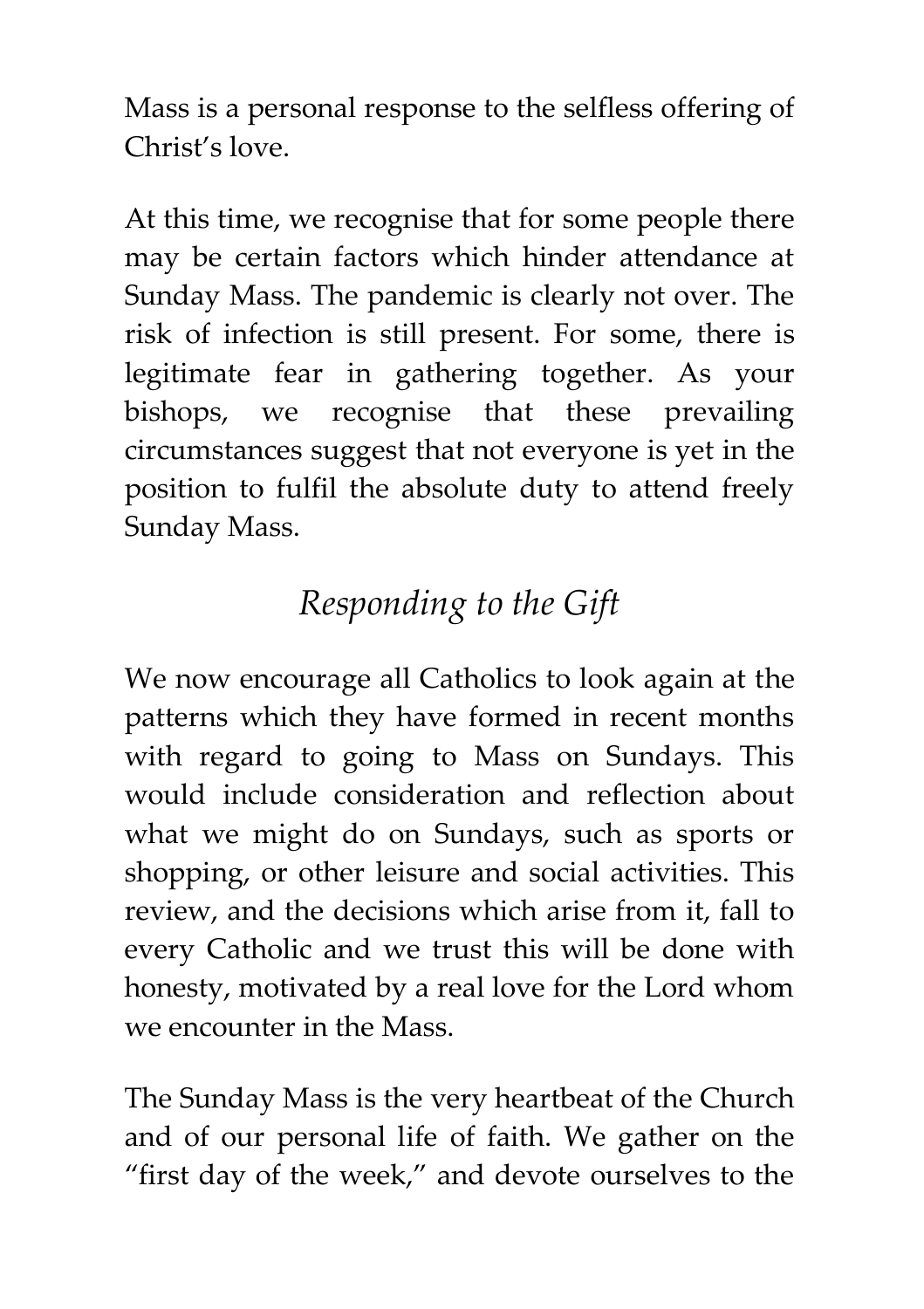Mass is a personal response to the selfless offering of Christ's love.

At this time, we recognise that for some people there may be certain factors which hinder attendance at Sunday Mass. The pandemic is clearly not over. The risk of infection is still present. For some, there is legitimate fear in gathering together. As your bishops, we recognise that these prevailing circumstances suggest that not everyone is yet in the position to fulfil the absolute duty to attend freely Sunday Mass.

# *Responding to the Gift*

We now encourage all Catholics to look again at the patterns which they have formed in recent months with regard to going to Mass on Sundays. This would include consideration and reflection about what we might do on Sundays, such as sports or shopping, or other leisure and social activities. This review, and the decisions which arise from it, fall to every Catholic and we trust this will be done with honesty, motivated by a real love for the Lord whom we encounter in the Mass.

The Sunday Mass is the very heartbeat of the Church and of our personal life of faith. We gather on the "first day of the week," and devote ourselves to the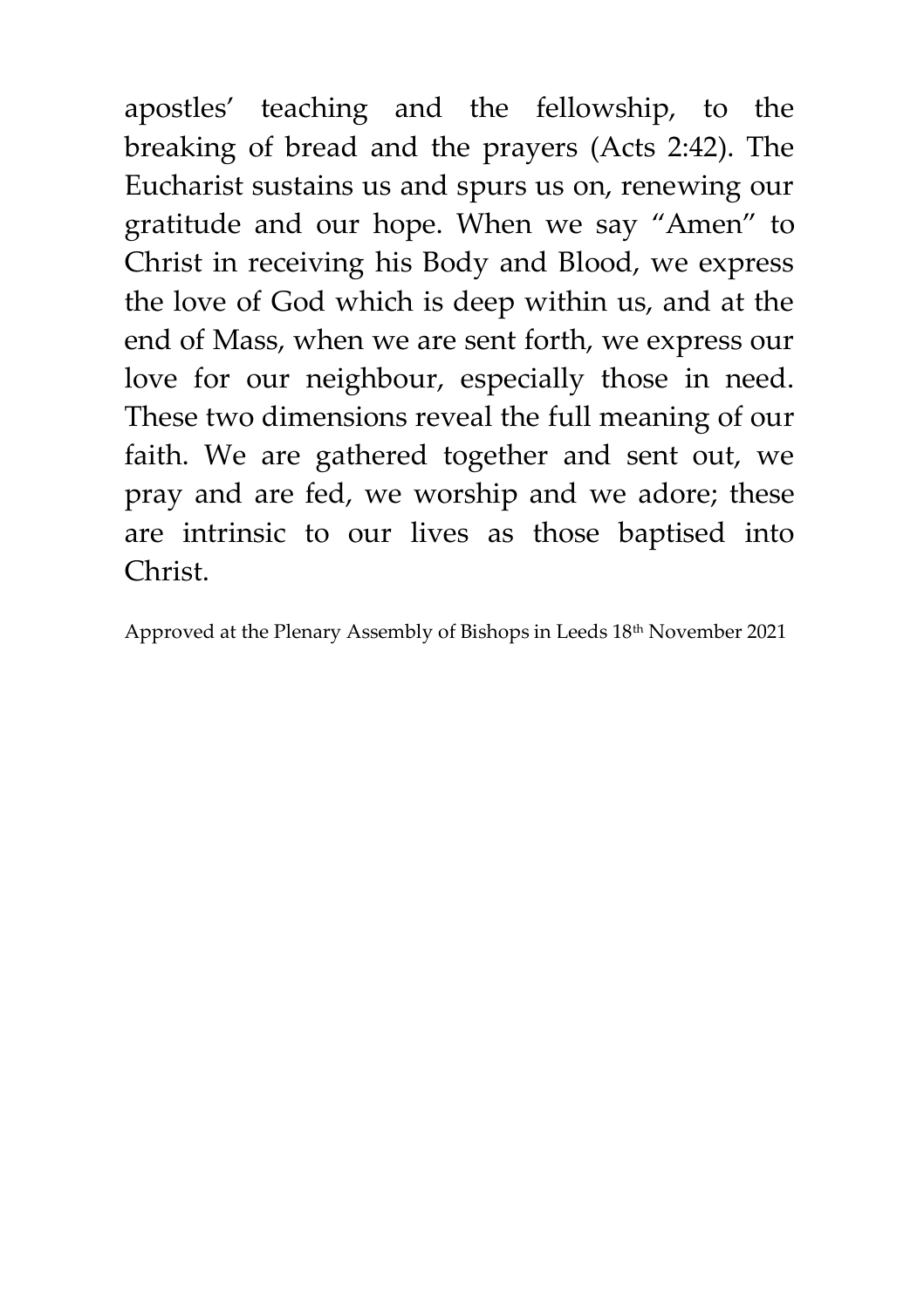apostles' teaching and the fellowship, to the breaking of bread and the prayers (Acts 2:42). The Eucharist sustains us and spurs us on, renewing our gratitude and our hope. When we say "Amen" to Christ in receiving his Body and Blood, we express the love of God which is deep within us, and at the end of Mass, when we are sent forth, we express our love for our neighbour, especially those in need. These two dimensions reveal the full meaning of our faith. We are gathered together and sent out, we pray and are fed, we worship and we adore; these are intrinsic to our lives as those baptised into Christ.

Approved at the Plenary Assembly of Bishops in Leeds  $18<sup>th</sup>$  November 2021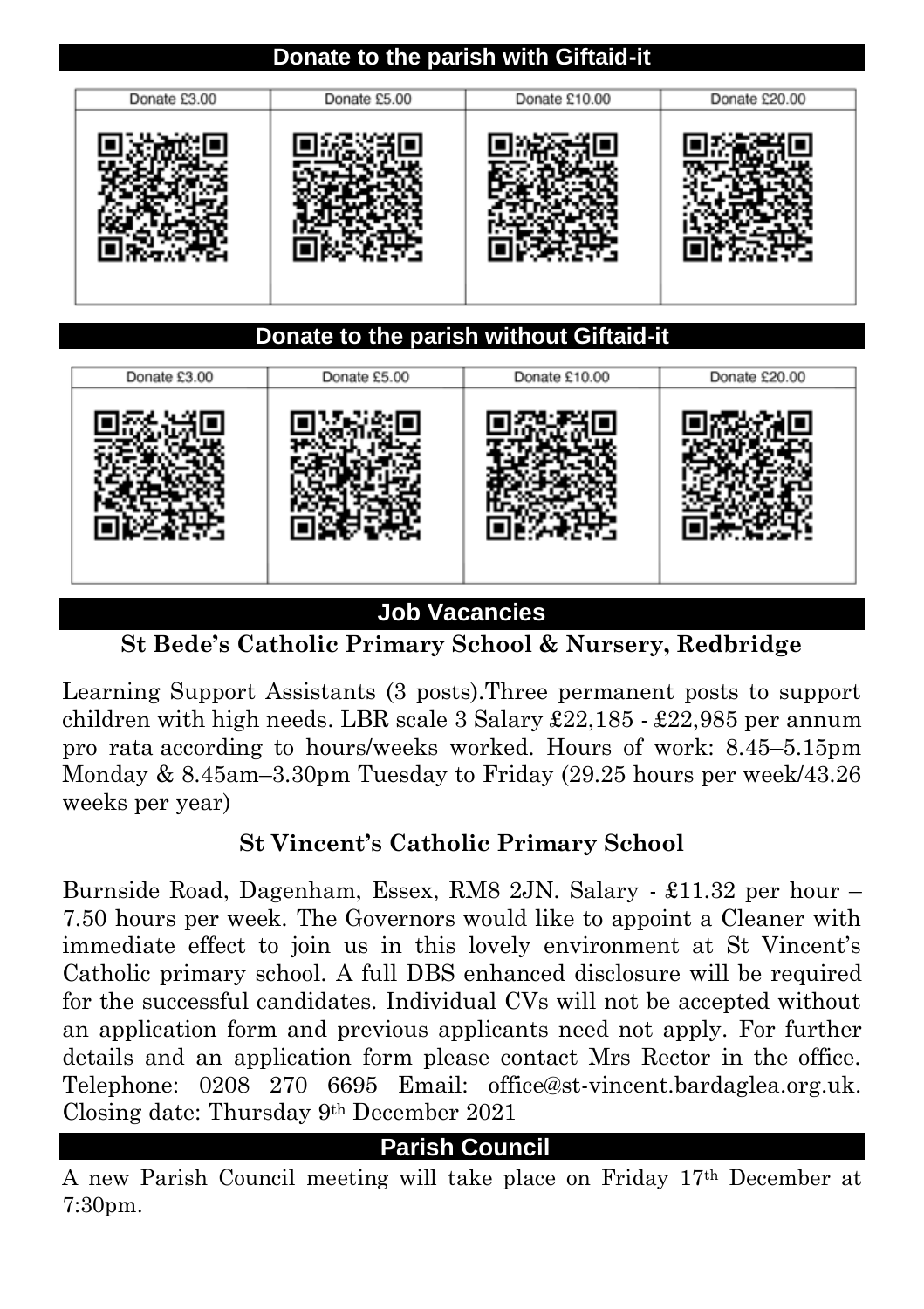#### **Donate to the parish with Giftaid-it**

| Donate £3.00 | Donate £5.00 | Donate £10.00 | Donate £20.00 |
|--------------|--------------|---------------|---------------|
|              |              |               |               |

#### **Donate to the parish without Giftaid-it**

| Donate £3.00 | Donate £5.00 | Donate £10.00 | Donate £20.00 |
|--------------|--------------|---------------|---------------|
|              |              |               |               |

**Job Vacancies**

**St Bede's Catholic Primary School & Nursery, Redbridge**

Learning Support Assistants (3 posts).Three permanent posts to support children with high needs. LBR scale 3 Salary £22,185 - £22,985 per annum pro rata according to hours/weeks worked. Hours of work: 8.45–5.15pm Monday & 8.45am–3.30pm Tuesday to Friday (29.25 hours per week/43.26 weeks per year)

#### **St Vincent's Catholic Primary School**

Burnside Road, Dagenham, Essex, RM8 2JN. Salary - £11.32 per hour – 7.50 hours per week. The Governors would like to appoint a Cleaner with immediate effect to join us in this lovely environment at St Vincent's Catholic primary school. A full DBS enhanced disclosure will be required for the successful candidates. Individual CVs will not be accepted without an application form and previous applicants need not apply. For further details and an application form please contact Mrs Rector in the office. Telephone: 0208 270 6695 Email: office@st-vincent.bardaglea.org.uk. Closing date: Thursday 9th December 2021

#### **Parish Council**

A new Parish Council meeting will take place on Friday 17th December at 7:30pm.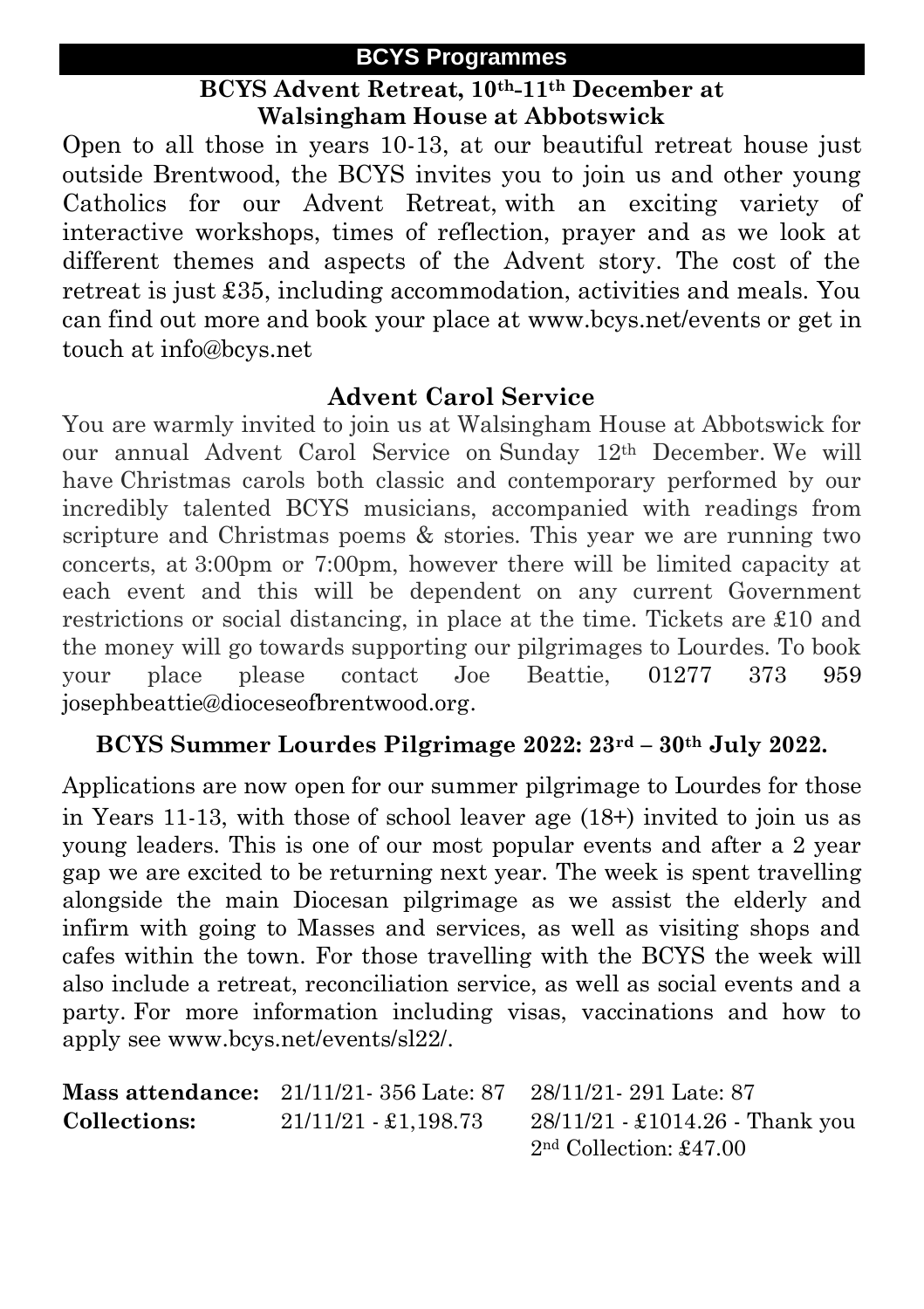#### **BCYS Programmes**

#### **BCYS Advent Retreat, 10th-11th December at Walsingham House at Abbotswick**

Open to all those in years 10-13, at our beautiful retreat house just outside Brentwood, the BCYS invites you to join us and other young Catholics for our Advent Retreat, with an exciting variety of interactive workshops, times of reflection, prayer and as we look at different themes and aspects of the Advent story. The cost of the retreat is just £35, including accommodation, activities and meals. You can find out more and book your place at [www.bcys.net/events](http://www.bcys.net/events) or get in touch at [info@bcys.net](mailto:info@bcys.net)

#### **Advent Carol Service**

You are warmly invited to join us at Walsingham House at Abbotswick for our annual Advent Carol Service on Sunday 12th December. We will have Christmas carols both classic and contemporary performed by our incredibly talented BCYS musicians, accompanied with readings from scripture and Christmas poems & stories. This year we are running two concerts, at 3:00pm or 7:00pm, however there will be limited capacity at each event and this will be dependent on any current Government restrictions or social distancing, in place at the time. Tickets are £10 and the money will go towards supporting our pilgrimages to Lourdes. To book your place please contact Joe Beattie, 01277 373 959 josephbeattie@dioceseofbrentwood.org.

#### **BCYS Summer Lourdes Pilgrimage 2022: 23rd – 30th July 2022.**

Applications are now open for our summer pilgrimage to Lourdes for those in Years 11-13, with those of school leaver age (18+) invited to join us as young leaders. This is one of our most popular events and after a 2 year gap we are excited to be returning next year. The week is spent travelling alongside the main Diocesan pilgrimage as we assist the elderly and infirm with going to Masses and services, as well as visiting shops and cafes within the town. For those travelling with the BCYS the week will also include a retreat, reconciliation service, as well as social events and a party. For more information including visas, vaccinations and how to apply see www.bcys.net/events/sl22/.

|              | <b>Mass attendance:</b> $21/11/21$ 356 Late: 87 | 28/11/21-291 Late: 87             |  |
|--------------|-------------------------------------------------|-----------------------------------|--|
| Collections: | 21/11/21 - £1,198.73                            | $28/11/21 - £1014.26$ - Thank you |  |
|              |                                                 | $2nd$ Collection: £47.00          |  |